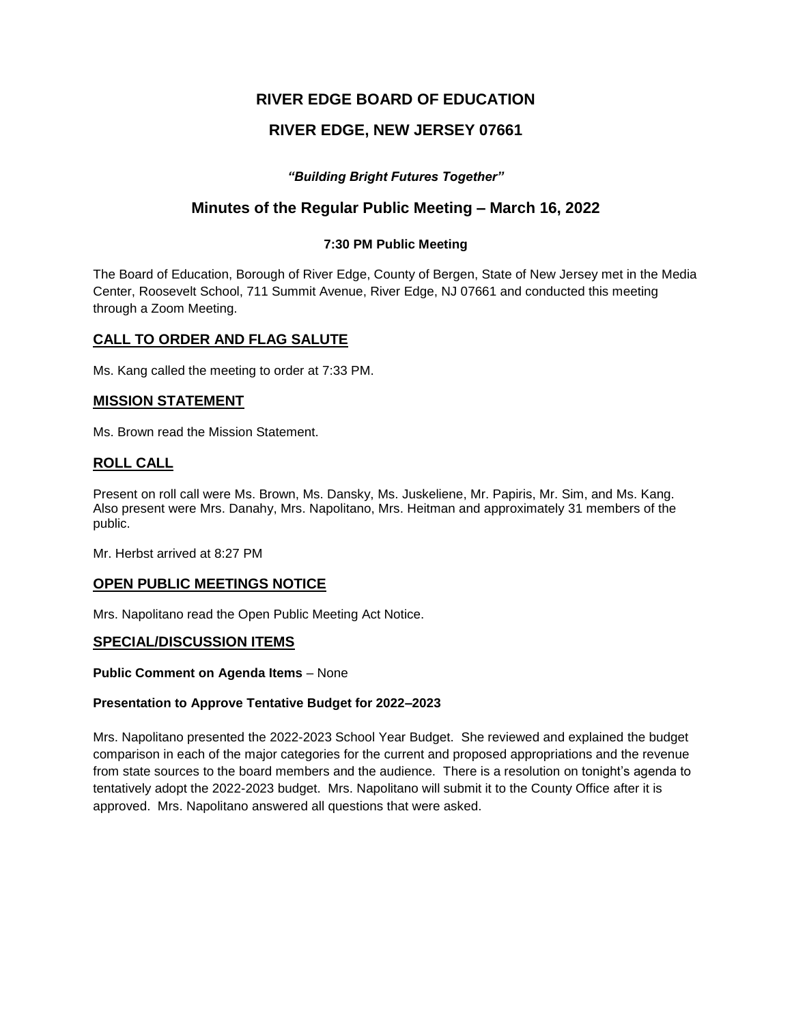# **RIVER EDGE BOARD OF EDUCATION**

# **RIVER EDGE, NEW JERSEY 07661**

## *"Building Bright Futures Together"*

# **Minutes of the Regular Public Meeting – March 16, 2022**

### **7:30 PM Public Meeting**

The Board of Education, Borough of River Edge, County of Bergen, State of New Jersey met in the Media Center, Roosevelt School, 711 Summit Avenue, River Edge, NJ 07661 and conducted this meeting through a Zoom Meeting.

## **CALL TO ORDER AND FLAG SALUTE**

Ms. Kang called the meeting to order at 7:33 PM.

## **MISSION STATEMENT**

Ms. Brown read the Mission Statement.

# **ROLL CALL**

Present on roll call were Ms. Brown, Ms. Dansky, Ms. Juskeliene, Mr. Papiris, Mr. Sim, and Ms. Kang. Also present were Mrs. Danahy, Mrs. Napolitano, Mrs. Heitman and approximately 31 members of the public.

Mr. Herbst arrived at 8:27 PM

# **OPEN PUBLIC MEETINGS NOTICE**

Mrs. Napolitano read the Open Public Meeting Act Notice.

### **SPECIAL/DISCUSSION ITEMS**

**Public Comment on Agenda Items** – None

### **Presentation to Approve Tentative Budget for 2022–2023**

Mrs. Napolitano presented the 2022-2023 School Year Budget. She reviewed and explained the budget comparison in each of the major categories for the current and proposed appropriations and the revenue from state sources to the board members and the audience. There is a resolution on tonight's agenda to tentatively adopt the 2022-2023 budget. Mrs. Napolitano will submit it to the County Office after it is approved. Mrs. Napolitano answered all questions that were asked.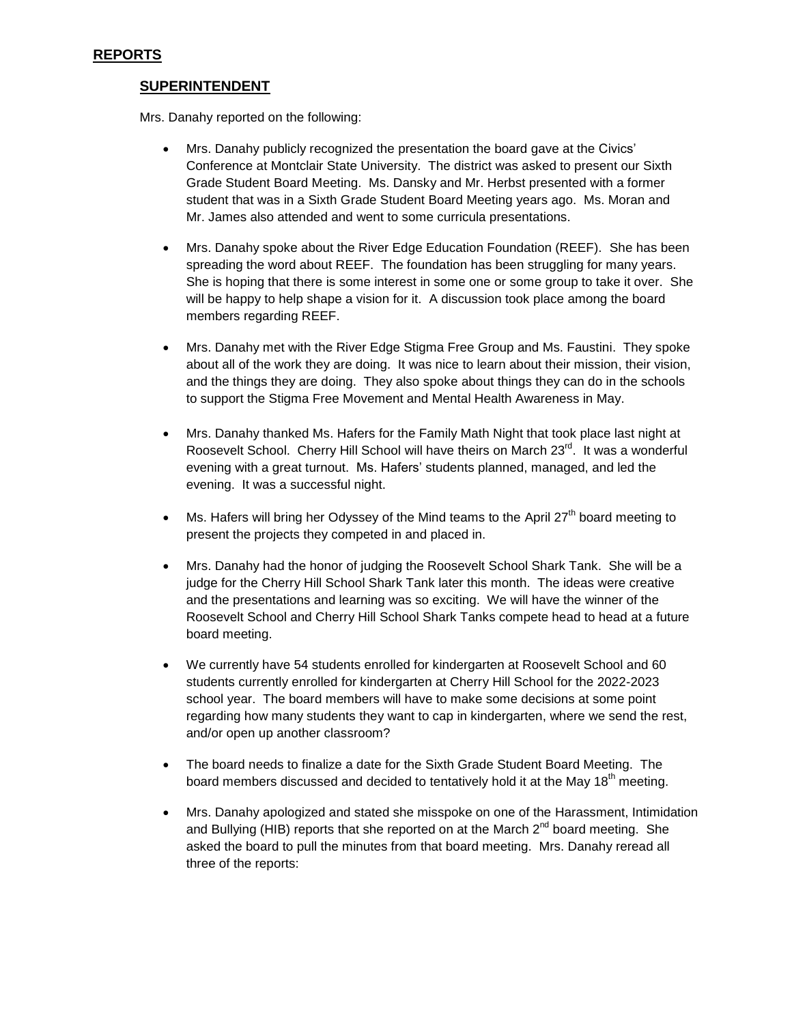## **SUPERINTENDENT**

Mrs. Danahy reported on the following:

- Mrs. Danahy publicly recognized the presentation the board gave at the Civics' Conference at Montclair State University. The district was asked to present our Sixth Grade Student Board Meeting. Ms. Dansky and Mr. Herbst presented with a former student that was in a Sixth Grade Student Board Meeting years ago. Ms. Moran and Mr. James also attended and went to some curricula presentations.
- Mrs. Danahy spoke about the River Edge Education Foundation (REEF). She has been spreading the word about REEF. The foundation has been struggling for many years. She is hoping that there is some interest in some one or some group to take it over. She will be happy to help shape a vision for it. A discussion took place among the board members regarding REEF.
- Mrs. Danahy met with the River Edge Stigma Free Group and Ms. Faustini. They spoke about all of the work they are doing. It was nice to learn about their mission, their vision, and the things they are doing. They also spoke about things they can do in the schools to support the Stigma Free Movement and Mental Health Awareness in May.
- Mrs. Danahy thanked Ms. Hafers for the Family Math Night that took place last night at Roosevelt School. Cherry Hill School will have theirs on March 23<sup>rd</sup>. It was a wonderful evening with a great turnout. Ms. Hafers' students planned, managed, and led the evening. It was a successful night.
- $\bullet$  Ms. Hafers will bring her Odyssey of the Mind teams to the April 27<sup>th</sup> board meeting to present the projects they competed in and placed in.
- Mrs. Danahy had the honor of judging the Roosevelt School Shark Tank. She will be a judge for the Cherry Hill School Shark Tank later this month. The ideas were creative and the presentations and learning was so exciting. We will have the winner of the Roosevelt School and Cherry Hill School Shark Tanks compete head to head at a future board meeting.
- We currently have 54 students enrolled for kindergarten at Roosevelt School and 60 students currently enrolled for kindergarten at Cherry Hill School for the 2022-2023 school year. The board members will have to make some decisions at some point regarding how many students they want to cap in kindergarten, where we send the rest, and/or open up another classroom?
- The board needs to finalize a date for the Sixth Grade Student Board Meeting. The board members discussed and decided to tentatively hold it at the May 18<sup>th</sup> meeting.
- Mrs. Danahy apologized and stated she misspoke on one of the Harassment, Intimidation and Bullying (HIB) reports that she reported on at the March  $2^{nd}$  board meeting. She asked the board to pull the minutes from that board meeting. Mrs. Danahy reread all three of the reports: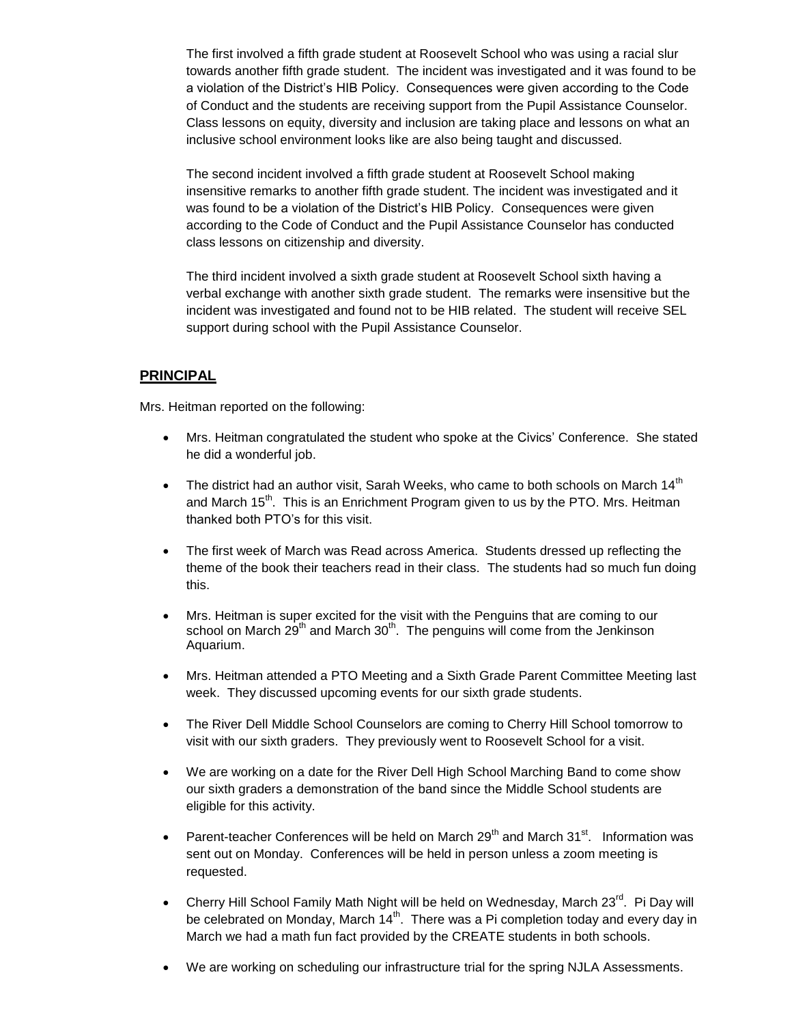The first involved a fifth grade student at Roosevelt School who was using a racial slur towards another fifth grade student. The incident was investigated and it was found to be a violation of the District's HIB Policy. Consequences were given according to the Code of Conduct and the students are receiving support from the Pupil Assistance Counselor. Class lessons on equity, diversity and inclusion are taking place and lessons on what an inclusive school environment looks like are also being taught and discussed.

The second incident involved a fifth grade student at Roosevelt School making insensitive remarks to another fifth grade student. The incident was investigated and it was found to be a violation of the District's HIB Policy. Consequences were given according to the Code of Conduct and the Pupil Assistance Counselor has conducted class lessons on citizenship and diversity.

The third incident involved a sixth grade student at Roosevelt School sixth having a verbal exchange with another sixth grade student. The remarks were insensitive but the incident was investigated and found not to be HIB related. The student will receive SEL support during school with the Pupil Assistance Counselor.

## **PRINCIPAL**

Mrs. Heitman reported on the following:

- Mrs. Heitman congratulated the student who spoke at the Civics' Conference. She stated he did a wonderful job.
- The district had an author visit, Sarah Weeks, who came to both schools on March  $14<sup>th</sup>$ and March 15<sup>th</sup>. This is an Enrichment Program given to us by the PTO. Mrs. Heitman thanked both PTO's for this visit.
- The first week of March was Read across America. Students dressed up reflecting the theme of the book their teachers read in their class. The students had so much fun doing this.
- Mrs. Heitman is super excited for the visit with the Penguins that are coming to our school on March  $29<sup>th</sup>$  and March  $30<sup>th</sup>$ . The penguins will come from the Jenkinson Aquarium.
- Mrs. Heitman attended a PTO Meeting and a Sixth Grade Parent Committee Meeting last week. They discussed upcoming events for our sixth grade students.
- The River Dell Middle School Counselors are coming to Cherry Hill School tomorrow to visit with our sixth graders. They previously went to Roosevelt School for a visit.
- We are working on a date for the River Dell High School Marching Band to come show our sixth graders a demonstration of the band since the Middle School students are eligible for this activity.
- Parent-teacher Conferences will be held on March 29<sup>th</sup> and March 31<sup>st</sup>. Information was sent out on Monday. Conferences will be held in person unless a zoom meeting is requested.
- Cherry Hill School Family Math Night will be held on Wednesday, March 23<sup>rd</sup>. Pi Day will be celebrated on Monday, March  $14<sup>th</sup>$ . There was a Pi completion today and every day in March we had a math fun fact provided by the CREATE students in both schools.
- We are working on scheduling our infrastructure trial for the spring NJLA Assessments.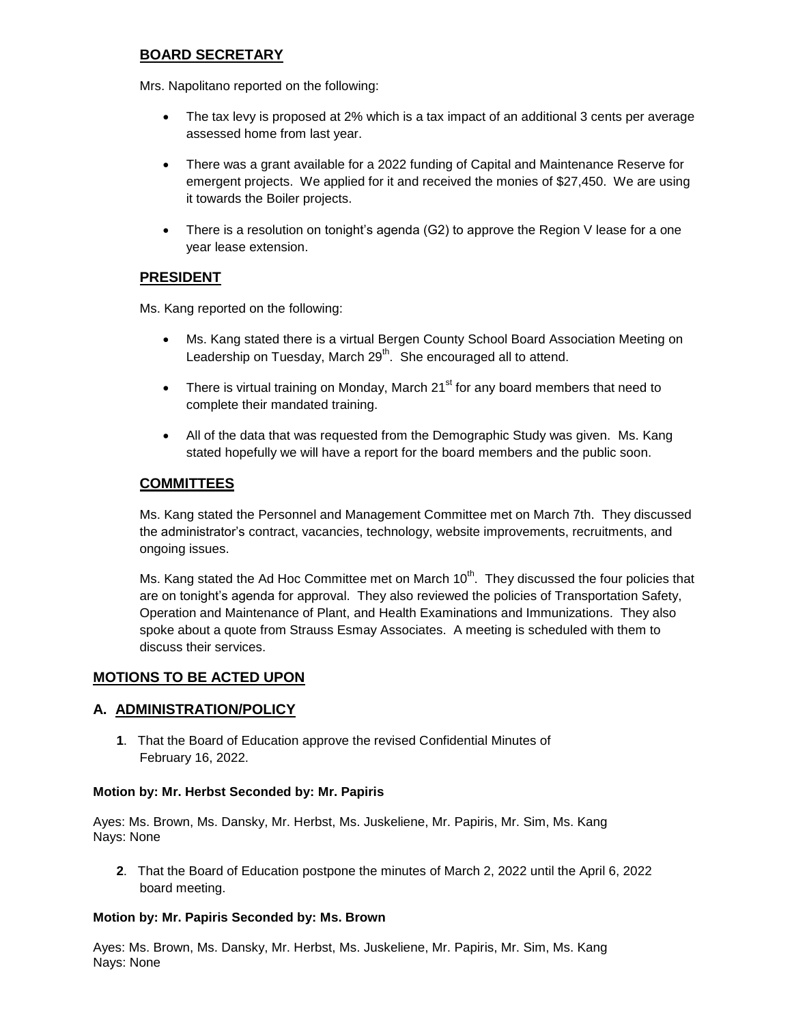# **BOARD SECRETARY**

Mrs. Napolitano reported on the following:

- The tax levy is proposed at 2% which is a tax impact of an additional 3 cents per average assessed home from last year.
- There was a grant available for a 2022 funding of Capital and Maintenance Reserve for emergent projects. We applied for it and received the monies of \$27,450. We are using it towards the Boiler projects.
- There is a resolution on tonight's agenda (G2) to approve the Region V lease for a one year lease extension.

# **PRESIDENT**

Ms. Kang reported on the following:

- Ms. Kang stated there is a virtual Bergen County School Board Association Meeting on Leadership on Tuesday, March 29<sup>th</sup>. She encouraged all to attend.
- There is virtual training on Monday, March  $21<sup>st</sup>$  for any board members that need to complete their mandated training.
- All of the data that was requested from the Demographic Study was given. Ms. Kang stated hopefully we will have a report for the board members and the public soon.

# **COMMITTEES**

Ms. Kang stated the Personnel and Management Committee met on March 7th. They discussed the administrator's contract, vacancies, technology, website improvements, recruitments, and ongoing issues.

Ms. Kang stated the Ad Hoc Committee met on March 10<sup>th</sup>. They discussed the four policies that are on tonight's agenda for approval. They also reviewed the policies of Transportation Safety, Operation and Maintenance of Plant, and Health Examinations and Immunizations. They also spoke about a quote from Strauss Esmay Associates. A meeting is scheduled with them to discuss their services.

# **MOTIONS TO BE ACTED UPON**

# **A. ADMINISTRATION/POLICY**

**1**. That the Board of Education approve the revised Confidential Minutes of February 16, 2022.

### **Motion by: Mr. Herbst Seconded by: Mr. Papiris**

Ayes: Ms. Brown, Ms. Dansky, Mr. Herbst, Ms. Juskeliene, Mr. Papiris, Mr. Sim, Ms. Kang Nays: None

**2**. That the Board of Education postpone the minutes of March 2, 2022 until the April 6, 2022 board meeting.

### **Motion by: Mr. Papiris Seconded by: Ms. Brown**

Ayes: Ms. Brown, Ms. Dansky, Mr. Herbst, Ms. Juskeliene, Mr. Papiris, Mr. Sim, Ms. Kang Nays: None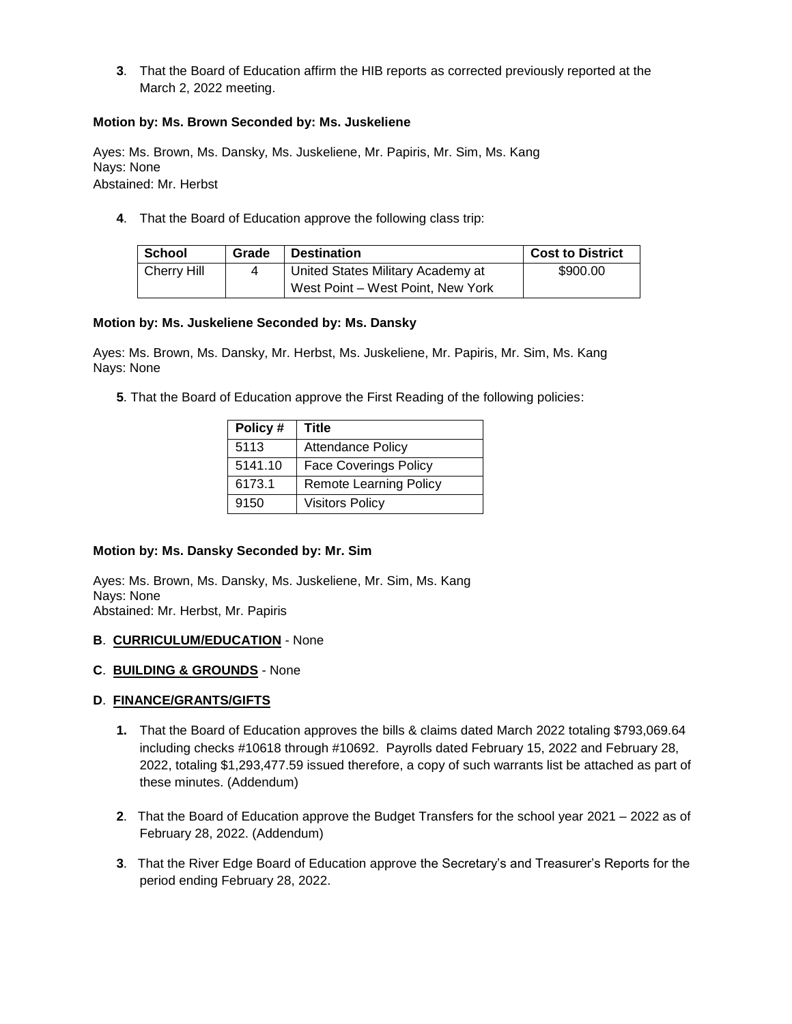**3**. That the Board of Education affirm the HIB reports as corrected previously reported at the March 2, 2022 meeting.

### **Motion by: Ms. Brown Seconded by: Ms. Juskeliene**

Ayes: Ms. Brown, Ms. Dansky, Ms. Juskeliene, Mr. Papiris, Mr. Sim, Ms. Kang Nays: None Abstained: Mr. Herbst

**4**. That the Board of Education approve the following class trip:

| <b>School</b> | Grade | <b>Destination</b>                | <b>Cost to District</b> |
|---------------|-------|-----------------------------------|-------------------------|
| Cherry Hill   |       | United States Military Academy at | \$900.00                |
|               |       | West Point – West Point, New York |                         |

### **Motion by: Ms. Juskeliene Seconded by: Ms. Dansky**

Ayes: Ms. Brown, Ms. Dansky, Mr. Herbst, Ms. Juskeliene, Mr. Papiris, Mr. Sim, Ms. Kang Nays: None

**5**. That the Board of Education approve the First Reading of the following policies:

| Policy# | Title                         |
|---------|-------------------------------|
| 5113    | <b>Attendance Policy</b>      |
| 5141.10 | <b>Face Coverings Policy</b>  |
| 6173.1  | <b>Remote Learning Policy</b> |
| 9150    | <b>Visitors Policy</b>        |

#### **Motion by: Ms. Dansky Seconded by: Mr. Sim**

Ayes: Ms. Brown, Ms. Dansky, Ms. Juskeliene, Mr. Sim, Ms. Kang Nays: None Abstained: Mr. Herbst, Mr. Papiris

#### **B**. **CURRICULUM/EDUCATION** - None

**C**. **BUILDING & GROUNDS** - None

### **D**. **FINANCE/GRANTS/GIFTS**

- **1.** That the Board of Education approves the bills & claims dated March 2022 totaling \$793,069.64 including checks #10618 through #10692. Payrolls dated February 15, 2022 and February 28, 2022, totaling \$1,293,477.59 issued therefore, a copy of such warrants list be attached as part of these minutes. (Addendum)
- **2**. That the Board of Education approve the Budget Transfers for the school year 2021 2022 as of February 28, 2022. (Addendum)
- **3**. That the River Edge Board of Education approve the Secretary's and Treasurer's Reports for the period ending February 28, 2022.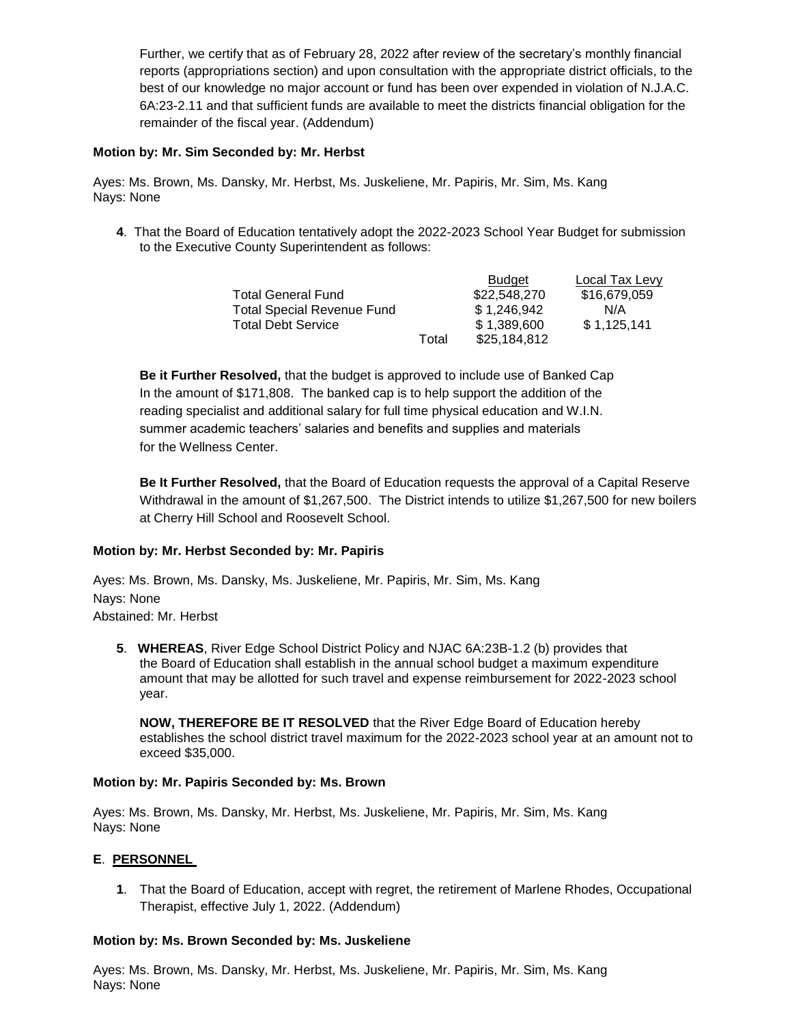Further, we certify that as of February 28, 2022 after review of the secretary's monthly financial reports (appropriations section) and upon consultation with the appropriate district officials, to the best of our knowledge no major account or fund has been over expended in violation of N.J.A.C. 6A:23-2.11 and that sufficient funds are available to meet the districts financial obligation for the remainder of the fiscal year. (Addendum)

### **Motion by: Mr. Sim Seconded by: Mr. Herbst**

Ayes: Ms. Brown, Ms. Dansky, Mr. Herbst, Ms. Juskeliene, Mr. Papiris, Mr. Sim, Ms. Kang Nays: None

**4**. That the Board of Education tentatively adopt the 2022-2023 School Year Budget for submission to the Executive County Superintendent as follows:

|                                   |       | <b>Budget</b> | Local Tax Levy |
|-----------------------------------|-------|---------------|----------------|
| <b>Total General Fund</b>         |       | \$22,548,270  | \$16,679,059   |
| <b>Total Special Revenue Fund</b> |       | \$1.246.942   | N/A            |
| <b>Total Debt Service</b>         |       | \$1,389,600   | \$1,125,141    |
|                                   | Total | \$25,184,812  |                |

**Be it Further Resolved,** that the budget is approved to include use of Banked Cap In the amount of \$171,808. The banked cap is to help support the addition of the reading specialist and additional salary for full time physical education and W.I.N. summer academic teachers' salaries and benefits and supplies and materials for the Wellness Center.

**Be It Further Resolved,** that the Board of Education requests the approval of a Capital Reserve Withdrawal in the amount of \$1,267,500. The District intends to utilize \$1,267,500 for new boilers at Cherry Hill School and Roosevelt School.

### **Motion by: Mr. Herbst Seconded by: Mr. Papiris**

Ayes: Ms. Brown, Ms. Dansky, Ms. Juskeliene, Mr. Papiris, Mr. Sim, Ms. Kang Nays: None Abstained: Mr. Herbst

**5**. **WHEREAS**, River Edge School District Policy and NJAC 6A:23B-1.2 (b) provides that the Board of Education shall establish in the annual school budget a maximum expenditure amount that may be allotted for such travel and expense reimbursement for 2022-2023 school year.

**NOW, THEREFORE BE IT RESOLVED** that the River Edge Board of Education hereby establishes the school district travel maximum for the 2022-2023 school year at an amount not to exceed \$35,000.

### **Motion by: Mr. Papiris Seconded by: Ms. Brown**

Ayes: Ms. Brown, Ms. Dansky, Mr. Herbst, Ms. Juskeliene, Mr. Papiris, Mr. Sim, Ms. Kang Nays: None

### **E**. **PERSONNEL**

**1**. That the Board of Education, accept with regret, the retirement of Marlene Rhodes, Occupational Therapist, effective July 1, 2022. (Addendum)

#### **Motion by: Ms. Brown Seconded by: Ms. Juskeliene**

Ayes: Ms. Brown, Ms. Dansky, Mr. Herbst, Ms. Juskeliene, Mr. Papiris, Mr. Sim, Ms. Kang Nays: None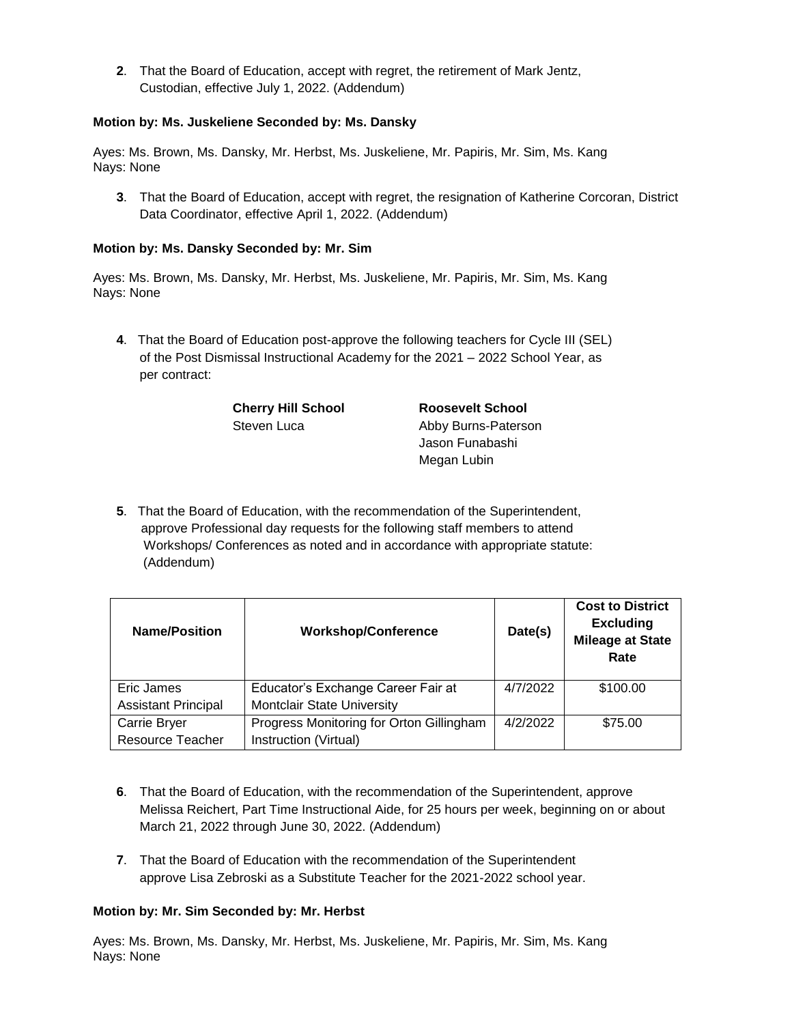**2**. That the Board of Education, accept with regret, the retirement of Mark Jentz, Custodian, effective July 1, 2022. (Addendum)

### **Motion by: Ms. Juskeliene Seconded by: Ms. Dansky**

Ayes: Ms. Brown, Ms. Dansky, Mr. Herbst, Ms. Juskeliene, Mr. Papiris, Mr. Sim, Ms. Kang Nays: None

**3**. That the Board of Education, accept with regret, the resignation of Katherine Corcoran, District Data Coordinator, effective April 1, 2022. (Addendum)

### **Motion by: Ms. Dansky Seconded by: Mr. Sim**

Ayes: Ms. Brown, Ms. Dansky, Mr. Herbst, Ms. Juskeliene, Mr. Papiris, Mr. Sim, Ms. Kang Nays: None

**4**. That the Board of Education post-approve the following teachers for Cycle III (SEL) of the Post Dismissal Instructional Academy for the 2021 – 2022 School Year, as per contract:

**Cherry Hill School Roosevelt School**

Steven Luca Abby Burns-Paterson Jason Funabashi Megan Lubin

**5**. That the Board of Education, with the recommendation of the Superintendent, approve Professional day requests for the following staff members to attend Workshops/ Conferences as noted and in accordance with appropriate statute: (Addendum)

| <b>Name/Position</b>       | <b>Workshop/Conference</b>               | Date(s)  | <b>Cost to District</b><br><b>Excluding</b><br><b>Mileage at State</b><br>Rate |
|----------------------------|------------------------------------------|----------|--------------------------------------------------------------------------------|
| Eric James                 | Educator's Exchange Career Fair at       | 4/7/2022 | \$100.00                                                                       |
| <b>Assistant Principal</b> | Montclair State University               |          |                                                                                |
| Carrie Bryer               | Progress Monitoring for Orton Gillingham | 4/2/2022 | \$75.00                                                                        |
| <b>Resource Teacher</b>    | Instruction (Virtual)                    |          |                                                                                |

- **6**. That the Board of Education, with the recommendation of the Superintendent, approve Melissa Reichert, Part Time Instructional Aide, for 25 hours per week, beginning on or about March 21, 2022 through June 30, 2022. (Addendum)
- **7**. That the Board of Education with the recommendation of the Superintendent approve Lisa Zebroski as a Substitute Teacher for the 2021-2022 school year.

#### **Motion by: Mr. Sim Seconded by: Mr. Herbst**

Ayes: Ms. Brown, Ms. Dansky, Mr. Herbst, Ms. Juskeliene, Mr. Papiris, Mr. Sim, Ms. Kang Nays: None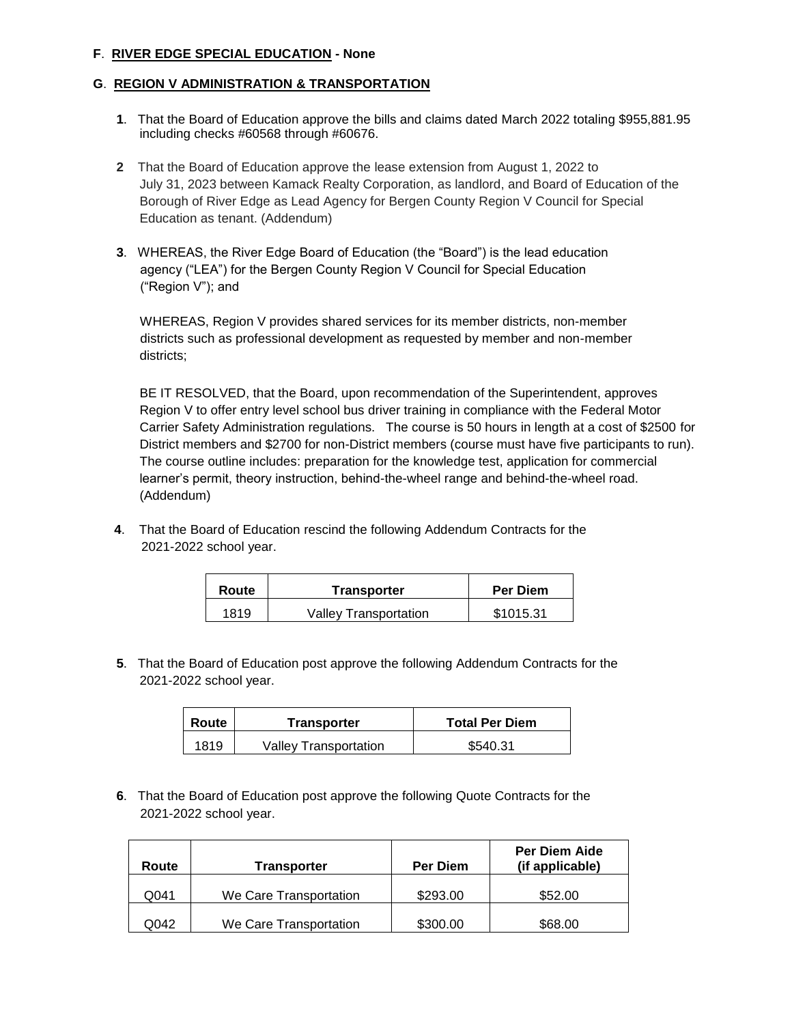### **F**. **RIVER EDGE SPECIAL EDUCATION - None**

### **G**. **REGION V ADMINISTRATION & TRANSPORTATION**

- **1**. That the Board of Education approve the bills and claims dated March 2022 totaling \$955,881.95 including checks #60568 through #60676.
- **2** That the Board of Education approve the lease extension from August 1, 2022 to July 31, 2023 between Kamack Realty Corporation, as landlord, and Board of Education of the Borough of River Edge as Lead Agency for Bergen County Region V Council for Special Education as tenant. (Addendum)
- **3**. WHEREAS, the River Edge Board of Education (the "Board") is the lead education agency ("LEA") for the Bergen County Region V Council for Special Education ("Region V"); and

 WHEREAS, Region V provides shared services for its member districts, non-member districts such as professional development as requested by member and non-member districts;

BE IT RESOLVED, that the Board, upon recommendation of the Superintendent, approves Region V to offer entry level school bus driver training in compliance with the Federal Motor Carrier Safety Administration regulations. The course is 50 hours in length at a cost of \$2500 for District members and \$2700 for non-District members (course must have five participants to run). The course outline includes: preparation for the knowledge test, application for commercial learner's permit, theory instruction, behind-the-wheel range and behind-the-wheel road. (Addendum)

**4**. That the Board of Education rescind the following Addendum Contracts for the 2021-2022 school year.

| Route | Transporter           | Per Diem  |
|-------|-----------------------|-----------|
| 1819  | Valley Transportation | \$1015.31 |

**5**. That the Board of Education post approve the following Addendum Contracts for the 2021-2022 school year.

| Route | Transporter           | <b>Total Per Diem</b> |  |
|-------|-----------------------|-----------------------|--|
| 1819  | Valley Transportation | \$540.31              |  |

**6**. That the Board of Education post approve the following Quote Contracts for the 2021-2022 school year.

| Route | <b>Transporter</b>     | <b>Per Diem</b> | <b>Per Diem Aide</b><br>(if applicable) |
|-------|------------------------|-----------------|-----------------------------------------|
| Q041  | We Care Transportation | \$293.00        | \$52.00                                 |
| Q042  | We Care Transportation | \$300.00        | \$68.00                                 |